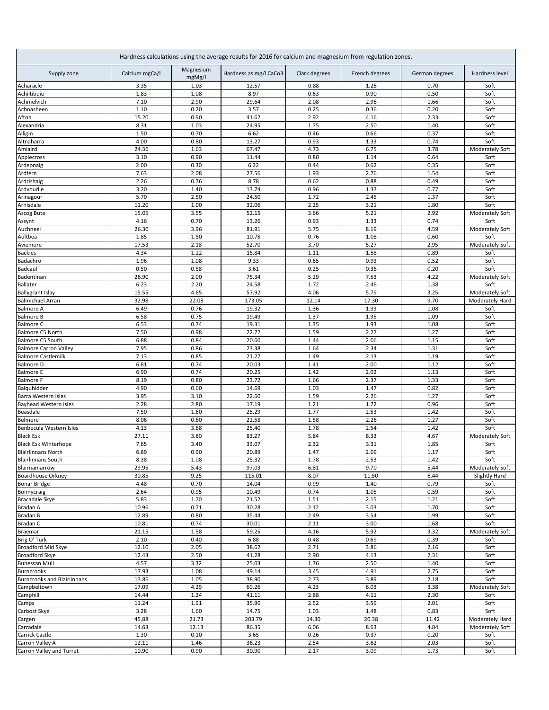| Hardness calculations using the average results for 2016 for calcium and magnesium from regulation zones. |                |                     |                        |               |                |                |                         |
|-----------------------------------------------------------------------------------------------------------|----------------|---------------------|------------------------|---------------|----------------|----------------|-------------------------|
| Supply zone                                                                                               | Calcium mgCa/l | Magnesium<br>mgMg/l | Hardness as mg/l CaCo3 | Clark degrees | French degrees | German degrees | Hardness level          |
| Acharacle                                                                                                 | 3.35           | 1.03                | 12.57                  | 0.88          | 1.26           | 0.70           | Soft                    |
| Achiltibuie                                                                                               | 1.83           | 1.08                | 8.97                   | 0.63          | 0.90           | 0.50           | Soft                    |
| Achmelvich<br>Achnasheen                                                                                  | 7.10<br>1.10   | 2.90<br>0.20        | 29.64<br>3.57          | 2.08<br>0.25  | 2.96<br>0.36   | 1.66<br>0.20   | Soft<br>Soft            |
| Afton                                                                                                     | 15.20          | 0.90                | 41.62                  | 2.92          | 4.16           | 2.33           | Soft                    |
| Alexandria                                                                                                | 8.31           | 1.03                | 24.95                  | 1.75          | 2.50           | 1.40           | Soft                    |
| Alligin                                                                                                   | 1.50           | 0.70                | 6.62                   | 0.46          | 0.66           | 0.37           | Soft                    |
| Altnaharra                                                                                                | 4.00           | 0.80                | 13.27                  | 0.93          | 1.33           | 0.74           | Soft                    |
| Amlaird                                                                                                   | 24.36          | 1.63                | 67.47                  | 4.73          | 6.75           | 3.78           | Moderately Soft         |
| Applecross                                                                                                | 3.10           | 0.90                | 11.44                  | 0.80          | 1.14           | 0.64           | Soft                    |
| Ardeonaig                                                                                                 | 2.00           | 0.30                | 6.22                   | 0.44          | 0.62           | 0.35           | Soft                    |
| Ardfern                                                                                                   | 7.63           | 2.08                | 27.56                  | 1.93          | 2.76           | 1.54           | Soft                    |
| Ardrishaig                                                                                                | 2.26<br>3.20   | 0.76<br>1.40        | 8.78<br>13.74          | 0.62<br>0.96  | 0.88<br>1.37   | 0.49<br>0.77   | Soft                    |
| Ardvourlie<br>Arinagour                                                                                   | 5.70           | 2.50                | 24.50                  | 1.72          | 2.45           | 1.37           | Soft<br>Soft            |
| Arnisdale                                                                                                 | 11.20          | 1.00                | 32.06                  | 2.25          | 3.21           | 1.80           | Soft                    |
| Ascog Bute                                                                                                | 15.05          | 3.55                | 52.15                  | 3.66          | 5.21           | 2.92           | Moderately Soft         |
| Assynt                                                                                                    | 4.16           | 0.70                | 13.26                  | 0.93          | 1.33           | 0.74           | Soft                    |
| Auchneel                                                                                                  | 26.30          | 3.96                | 81.91                  | 5.75          | 8.19           | 4.59           | Moderately Soft         |
| Aultbea                                                                                                   | 1.85           | 1.50                | 10.78                  | 0.76          | 1.08           | 0.60           | Soft                    |
| Aviemore                                                                                                  | 17.53          | 2.18                | 52.70                  | 3.70          | 5.27           | 2.95           | Moderately Soft         |
| <b>Backies</b><br>Badachro                                                                                | 4.34<br>1.96   | 1.22<br>1.08        | 15.84<br>9.33          | 1.11<br>0.65  | 1.58<br>0.93   | 0.89<br>0.52   | Soft<br>Soft            |
| Badcaul                                                                                                   | 0.50           | 0.58                | 3.61                   | 0.25          | 0.36           | 0.20           | Soft                    |
| Badentinan                                                                                                | 26.90          | 2.00                | 75.34                  | 5.29          | 7.53           | 4.22           | Moderately Soft         |
| <b>Ballater</b>                                                                                           | 6.23           | 2.20                | 24.58                  | 1.72          | 2.46           | 1.38           | Soft                    |
| <b>Ballygrant Islay</b>                                                                                   | 15.55          | 4.65                | 57.92                  | 4.06          | 5.79           | 3.25           | Moderately Soft         |
| <b>Balmichael Arran</b>                                                                                   | 32.98          | 22.08               | 173.05                 | 12.14         | 17.30          | 9.70           | Moderately Hard         |
| <b>Balmore A</b>                                                                                          | 6.49           | 0.76                | 19.32                  | 1.36          | 1.93           | 1.08           | Soft                    |
| <b>Balmore B</b>                                                                                          | 6.58           | 0.75                | 19.49                  | 1.37          | 1.95           | 1.09           | Soft                    |
| <b>Balmore C</b><br>Balmore C5 North                                                                      | 6.53<br>7.50   | 0.74<br>0.98        | 19.31<br>22.72         | 1.35<br>1.59  | 1.93<br>2.27   | 1.08<br>1.27   | Soft<br>Soft            |
| Balmore C5 South                                                                                          | 6.88           | 0.84                | 20.60                  | 1.44          | 2.06           | 1.15           | Soft                    |
| <b>Balmore Carron Valley</b>                                                                              | 7.95           | 0.86                | 23.38                  | 1.64          | 2.34           | 1.31           | Soft                    |
| <b>Balmore Castlemilk</b>                                                                                 | 7.13           | 0.85                | 21.27                  | 1.49          | 2.13           | 1.19           | Soft                    |
| <b>Balmore D</b>                                                                                          | 6.81           | 0.74                | 20.03                  | 1.41          | 2.00           | 1.12           | Soft                    |
| <b>Balmore E</b>                                                                                          | 6.90           | 0.74                | 20.25                  | 1.42          | 2.02           | 1.13           | Soft                    |
| <b>Balmore F</b>                                                                                          | 8.19           | 0.80                | 23.72                  | 1.66          | 2.37           | 1.33           | Soft                    |
| Balquhidder<br>Barra Western Isles                                                                        | 4.90<br>3.95   | 0.60<br>3.10        | 14.69<br>22.60         | 1.03<br>1.59  | 1.47<br>2.26   | 0.82<br>1.27   | Soft<br>Soft            |
| <b>Bayhead Western Isles</b>                                                                              | 2.28           | 2.80                | 17.19                  | 1.21          | 1.72           | 0.96           | Soft                    |
| Beasdale                                                                                                  | 7.50           | 1.60                | 25.29                  | 1.77          | 2.53           | 1.42           | Soft                    |
| Belmore                                                                                                   | 8.06           | 0.60                | 22.58                  | 1.58          | 2.26           | 1.27           | Soft                    |
| Benbecula Western Isles                                                                                   | 4.13           | 3.68                | 25.40                  | 1.78          | 2.54           | 1.42           | Soft                    |
| <b>Black Esk</b>                                                                                          | 27.11          | 3.80                | 83.27                  | 5.84          | 8.33           | 4.67           | Moderately Soft         |
| <b>Black Esk Winterhope</b>                                                                               | 7.65           | 3.40                | 33.07                  | 2.32          | 3.31           | 1.85           | Soft                    |
| <b>Blairlinnans North</b><br><b>Blairlinnans South</b>                                                    | 6.89           | 0.90                | 20.89                  | 1.47          | 2.09           | 1.17           | Soft                    |
| Blairnamarrow                                                                                             | 8.38<br>29.95  | 1.08<br>5.43        | 25.32<br>97.03         | 1.78<br>6.81  | 2.53<br>9.70   | 1.42<br>5.44   | Soft<br>Moderately Soft |
| <b>Boardhouse Orkney</b>                                                                                  | 30.85          | 9.25                | 115.01                 | 8.07          | 11.50          | 6.44           | Slightly Hard           |
| <b>Bonar Bridge</b>                                                                                       | 4.48           | 0.70                | 14.04                  | 0.99          | 1.40           | 0.79           | Soft                    |
| Bonnycraig                                                                                                | 2.64           | 0.95                | 10.49                  | 0.74          | 1.05           | 0.59           | Soft                    |
| <b>Bracadale Skye</b>                                                                                     | 5.83           | 1.70                | 21.52                  | 1.51          | 2.15           | 1.21           | Soft                    |
| Bradan A                                                                                                  | 10.96          | 0.71                | 30.28                  | 2.12          | 3.03           | 1.70           | Soft                    |
| Bradan B                                                                                                  | 12.89          | 0.80                | 35.44                  | 2.49          | 3.54           | 1.99           | Soft                    |
| <b>Bradan C</b>                                                                                           | 10.81<br>21.15 | 0.74<br>1.58        | 30.01<br>59.25         | 2.11<br>4.16  | 3.00<br>5.92   | 1.68<br>3.32   | Soft                    |
| Braemar<br>Brig O' Turk                                                                                   | 2.10           | 0.40                | 6.88                   | 0.48          | 0.69           | 0.39           | Moderately Soft<br>Soft |
| Broadford Mid Skye                                                                                        | 12.10          | 2.05                | 38.62                  | 2.71          | 3.86           | 2.16           | Soft                    |
| <b>Broadford Skye</b>                                                                                     | 12.43          | 2.50                | 41.28                  | 2.90          | 4.13           | 2.31           | Soft                    |
| <b>Bunessan Mull</b>                                                                                      | 4.57           | 3.32                | 25.03                  | 1.76          | 2.50           | 1.40           | Soft                    |
| <b>Burncrooks</b>                                                                                         | 17.93          | 1.08                | 49.14                  | 3.45          | 4.91           | 2.75           | Soft                    |
| <b>Burncrooks and Blairlinnans</b>                                                                        | 13.86          | 1.05                | 38.90                  | 2.73          | 3.89           | 2.18           | Soft                    |
| Campbeltown                                                                                               | 17.09          | 4.29                | 60.26                  | 4.23          | 6.03           | 3.38           | Moderately Soft         |
| Camphill<br>Camps                                                                                         | 14.44<br>11.24 | 1.24<br>1.91        | 41.11<br>35.90         | 2.88<br>2.52  | 4.11<br>3.59   | 2.30<br>2.01   | Soft<br>Soft            |
| Carbost Skye                                                                                              | 3.28           | 1.60                | 14.75                  | 1.03          | 1.48           | 0.83           | Soft                    |
| Cargen                                                                                                    | 45.88          | 21.73               | 203.79                 | 14.30         | 20.38          | 11.42          | Moderately Hard         |
| Carradale                                                                                                 | 14.63          | 12.13               | 86.35                  | 6.06          | 8.63           | 4.84           | Moderately Soft         |
| Carrick Castle                                                                                            | 1.30           | 0.10                | 3.65                   | 0.26          | 0.37           | 0.20           | Soft                    |
| Carron Valley A                                                                                           | 12.11          | 1.46                | 36.23                  | 2.54          | 3.62           | 2.03           | Soft                    |
| Carron Valley and Turret                                                                                  | 10.90          | 0.90                | 30.90                  | 2.17          | 3.09           | 1.73           | Soft                    |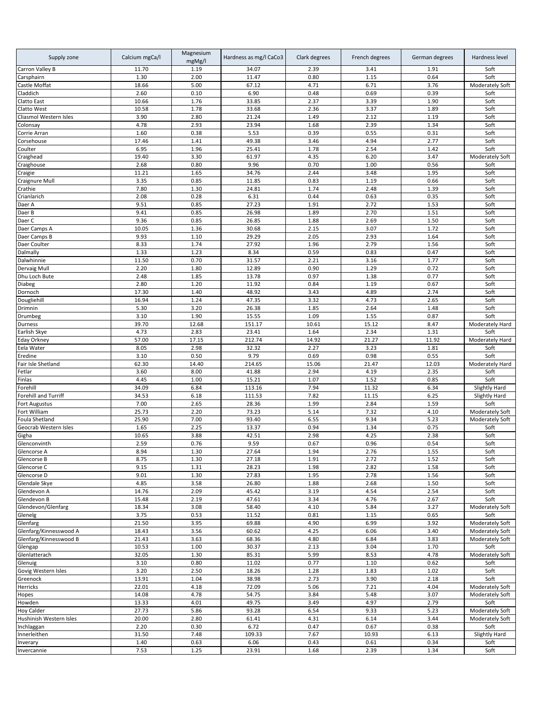| Supply zone                    | Calcium mgCa/l | Magnesium<br>mgMg/l | Hardness as mg/l CaCo3 | Clark degrees | French degrees | German degrees | Hardness level                     |
|--------------------------------|----------------|---------------------|------------------------|---------------|----------------|----------------|------------------------------------|
| Carron Valley B                | 11.70          | 1.19                | 34.07                  | 2.39          | 3.41           | 1.91           | Soft                               |
| Carsphairn                     | 1.30           | 2.00                | 11.47                  | 0.80          | 1.15           | 0.64           | Soft                               |
| Castle Moffat                  | 18.66          | 5.00                | 67.12                  | 4.71          | 6.71           | 3.76           | Moderately Soft                    |
| Claddich<br>Clatto East        | 2.60<br>10.66  | 0.10<br>1.76        | 6.90<br>33.85          | 0.48<br>2.37  | 0.69<br>3.39   | 0.39<br>1.90   | Soft<br>Soft                       |
| Clatto West                    | 10.58          | 1.78                | 33.68                  | 2.36          | 3.37           | 1.89           | Soft                               |
| Cliasmol Western Isles         | 3.90           | 2.80                | 21.24                  | 1.49          | 2.12           | 1.19           | Soft                               |
| Colonsay                       | 4.78           | 2.93                | 23.94                  | 1.68          | 2.39           | 1.34           | Soft                               |
| Corrie Arran                   | 1.60           | 0.38                | 5.53                   | 0.39          | 0.55           | 0.31           | Soft                               |
| Corsehouse                     | 17.46          | 1.41                | 49.38                  | 3.46          | 4.94           | 2.77           | Soft                               |
| Coulter                        | 6.95           | 1.96                | 25.41                  | 1.78          | 2.54           | 1.42           | Soft                               |
| Craighead                      | 19.40          | 3.30                | 61.97                  | 4.35          | 6.20           | 3.47           | Moderately Soft                    |
| Craighouse                     | 2.68           | 0.80                | 9.96                   | 0.70          | 1.00           | 0.56           | Soft                               |
| Craigie                        | 11.21          | 1.65                | 34.76                  | 2.44          | 3.48           | 1.95           | Soft                               |
| Craignure Mull                 | 3.35           | 0.85                | 11.85                  | 0.83          | 1.19           | 0.66           | Soft                               |
| Crathie                        | 7.80           | 1.30                | 24.81                  | 1.74          | 2.48           | 1.39           | Soft                               |
| Crianlarich                    | 2.08           | 0.28                | 6.31                   | 0.44          | 0.63           | 0.35           | Soft                               |
| Daer A<br>Daer B               | 9.51<br>9.41   | 0.85<br>0.85        | 27.23<br>26.98         | 1.91<br>1.89  | 2.72<br>2.70   | 1.53<br>1.51   | Soft<br>Soft                       |
| Daer C                         | 9.36           | 0.85                | 26.85                  | 1.88          | 2.69           | 1.50           | Soft                               |
| Daer Camps A                   | 10.05          | 1.36                | 30.68                  | 2.15          | 3.07           | 1.72           | Soft                               |
| Daer Camps B                   | 9.93           | 1.10                | 29.29                  | 2.05          | 2.93           | 1.64           | Soft                               |
| Daer Coulter                   | 8.33           | 1.74                | 27.92                  | 1.96          | 2.79           | 1.56           | Soft                               |
| Dalmally                       | 1.33           | 1.23                | 8.34                   | 0.59          | 0.83           | 0.47           | Soft                               |
| Dalwhinnie                     | 11.50          | 0.70                | 31.57                  | 2.21          | 3.16           | 1.77           | Soft                               |
| Dervaig Mull                   | 2.20           | 1.80                | 12.89                  | 0.90          | 1.29           | 0.72           | Soft                               |
| Dhu Loch Bute                  | 2.48           | 1.85                | 13.78                  | 0.97          | 1.38           | 0.77           | Soft                               |
| Diabeg                         | 2.80           | 1.20                | 11.92                  | 0.84          | 1.19           | 0.67           | Soft                               |
| Dornoch                        | 17.30          | 1.40                | 48.92                  | 3.43          | 4.89           | 2.74           | Soft                               |
| Dougliehill                    | 16.94          | 1.24                | 47.35                  | 3.32          | 4.73           | 2.65           | Soft                               |
| Drimnin                        | 5.30           | 3.20                | 26.38                  | 1.85          | 2.64           | 1.48           | Soft                               |
| Drumbeg                        | 3.10<br>39.70  | 1.90<br>12.68       | 15.55<br>151.17        | 1.09<br>10.61 | 1.55<br>15.12  | 0.87<br>8.47   | Soft<br>Moderately Hard            |
| Durness<br>Earlish Skye        | 4.73           | 2.83                | 23.41                  | 1.64          | 2.34           | 1.31           | Soft                               |
| <b>Eday Orkney</b>             | 57.00          | 17.15               | 212.74                 | 14.92         | 21.27          | 11.92          | Moderately Hard                    |
| Eela Water                     | 8.05           | 2.98                | 32.32                  | 2.27          | 3.23           | 1.81           | Soft                               |
| Eredine                        | 3.10           | 0.50                | 9.79                   | 0.69          | 0.98           | 0.55           | Soft                               |
| Fair Isle Shetland             | 62.30          | 14.40               | 214.65                 | 15.06         | 21.47          | 12.03          | Moderately Hard                    |
| Fetlar                         | 3.60           | 8.00                | 41.88                  | 2.94          | 4.19           | 2.35           | Soft                               |
| Finlas                         | 4.45           | 1.00                | 15.21                  | 1.07          | 1.52           | 0.85           | Soft                               |
| Forehill                       | 34.09          | 6.84                | 113.16                 | 7.94          | 11.32          | 6.34           | <b>Slightly Hard</b>               |
| Forehill and Turriff           | 34.53          | 6.18                | 111.53                 | 7.82          | 11.15          | 6.25           | <b>Slightly Hard</b>               |
| <b>Fort Augustus</b>           | 7.00           | 2.65                | 28.36                  | 1.99          | 2.84           | 1.59           | Soft                               |
| Fort William<br>Foula Shetland | 25.73<br>25.90 | 2.20<br>7.00        | 73.23<br>93.40         | 5.14<br>6.55  | 7.32<br>9.34   | 4.10<br>5.23   | Moderately Soft<br>Moderately Soft |
| Geocrab Western Isles          | 1.65           | 2.25                | 13.37                  | 0.94          | 1.34           | 0.75           | Soft                               |
| Gigha                          | 10.65          | 3.88                | 42.51                  | 2.98          | 4.25           | 2.38           | Soft                               |
| Glenconvinth                   | 2.59           | 0.76                | 9.59                   | 0.67          | 0.96           | 0.54           | Soft                               |
| Glencorse A                    | 8.94           | 1.30                | 27.64                  | 1.94          | 2.76           | 1.55           | SOTT                               |
| Glencorse B                    | 8.75           | 1.30                | 27.18                  | 1.91          | 2.72           | 1.52           | Soft                               |
| Glencorse C                    | 9.15           | 1.31                | 28.23                  | 1.98          | 2.82           | 1.58           | Soft                               |
| Glencorse D                    | 9.01           | 1.30                | 27.83                  | 1.95          | 2.78           | 1.56           | Soft                               |
| Glendale Skye                  | 4.85           | 3.58                | 26.80                  | 1.88          | 2.68           | 1.50           | Soft                               |
| Glendevon A                    | 14.76          | 2.09                | 45.42                  | 3.19          | 4.54           | 2.54           | Soft                               |
| Glendevon B                    | 15.48          | 2.19                | 47.61                  | 3.34          | 4.76           | 2.67           | Soft                               |
| Glendevon/Glenfarg             | 18.34          | 3.08                | 58.40                  | 4.10          | 5.84           | 3.27           | Moderately Soft                    |
| Glenelg<br>Glenfarg            | 3.75<br>21.50  | 0.53<br>3.95        | 11.52<br>69.88         | 0.81<br>4.90  | 1.15           | 0.65<br>3.92   | Soft                               |
| Glenfarg/Kinnesswood A         | 18.43          | 3.56                | 60.62                  | 4.25          | 6.99<br>6.06   | 3.40           | Moderately Soft<br>Moderately Soft |
| Glenfarg/Kinnesswood B         | 21.43          | 3.63                | 68.36                  | 4.80          | 6.84           | 3.83           | Moderately Soft                    |
| Glengap                        | 10.53          | 1.00                | 30.37                  | 2.13          | 3.04           | 1.70           | Soft                               |
| Glenlatterach                  | 32.05          | 1.30                | 85.31                  | 5.99          | 8.53           | 4.78           | Moderately Soft                    |
| Glenuig                        | 3.10           | 0.80                | 11.02                  | 0.77          | 1.10           | 0.62           | Soft                               |
| Govig Western Isles            | 3.20           | 2.50                | 18.26                  | 1.28          | 1.83           | 1.02           | Soft                               |
| Greenock                       | 13.91          | 1.04                | 38.98                  | 2.73          | 3.90           | 2.18           | Soft                               |
| Herricks                       | 22.01          | 4.18                | 72.09                  | 5.06          | 7.21           | 4.04           | Moderately Soft                    |
| Hopes                          | 14.08          | 4.78                | 54.75                  | 3.84          | 5.48           | 3.07           | Moderately Soft                    |
| Howden                         | 13.33          | 4.01                | 49.75                  | 3.49          | 4.97           | 2.79           | Soft                               |
| <b>Hoy Calder</b>              | 27.73          | 5.86                | 93.28                  | 6.54          | 9.33           | 5.23           | Moderately Soft                    |
| Hushinish Western Isles        | 20.00          | 2.80                | 61.41                  | 4.31          | 6.14           | 3.44           | Moderately Soft                    |
| Inchlaggan                     | 2.20           | 0.30                | 6.72                   | 0.47          | 0.67           | 0.38           | Soft                               |
| Innerleithen<br>Inverary       | 31.50<br>1.40  | 7.48<br>0.63        | 109.33<br>6.06         | 7.67<br>0.43  | 10.93<br>0.61  | 6.13<br>0.34   | Slightly Hard<br>Soft              |
| Invercannie                    | 7.53           | 1.25                | 23.91                  | 1.68          | 2.39           | 1.34           | Soft                               |
|                                |                |                     |                        |               |                |                |                                    |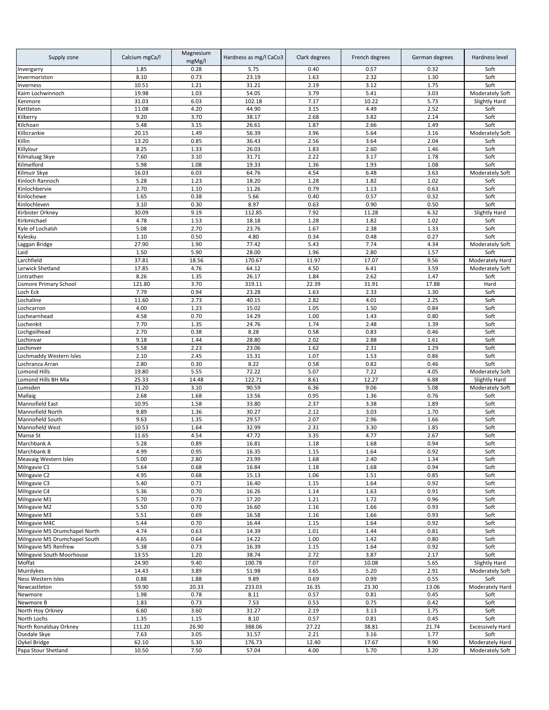| Supply zone                                    | Calcium mgCa/l | Magnesium<br>mgMg/l | Hardness as mg/l CaCo3 | Clark degrees    | French degrees | German degrees | Hardness level                   |
|------------------------------------------------|----------------|---------------------|------------------------|------------------|----------------|----------------|----------------------------------|
| Invergarry                                     | 1.85           | 0.28                | 5.75                   | 0.40             | 0.57           | 0.32           | Soft                             |
| Invermoriston                                  | 8.10           | 0.73                | 23.19                  | 1.63             | 2.32           | 1.30           | Soft                             |
| Inverness                                      | 10.51          | 1.21                | 31.21                  | 2.19             | 3.12           | 1.75           | Soft                             |
| Kaim Lochwinnoch<br>Kenmore                    | 19.98<br>31.03 | 1.03<br>6.03        | 54.05<br>102.18        | 3.79<br>7.17     | 5.41<br>10.22  | 3.03<br>5.73   | Moderately Soft<br>Slightly Hard |
| Kettleton                                      | 11.08          | 4.20                | 44.90                  | 3.15             | 4.49           | 2.52           | Soft                             |
| Kilberry                                       | 9.20           | 3.70                | 38.17                  | 2.68             | 3.82           | 2.14           | Soft                             |
| Kilchoan                                       | 5.48           | 3.15                | 26.61                  | 1.87             | 2.66           | 1.49           | Soft                             |
| Killicrankie                                   | 20.15          | 1.49                | 56.39                  | 3.96             | 5.64           | 3.16           | Moderately Soft                  |
| Killin                                         | 13.20          | 0.85                | 36.43                  | 2.56             | 3.64           | 2.04           | Soft                             |
| Killylour                                      | 8.25           | 1.33                | 26.03                  | 1.83             | 2.60           | 1.46           | Soft                             |
| Kilmaluag Skye                                 | 7.60           | 3.10                | 31.71                  | 2.22             | 3.17           | 1.78           | Soft                             |
| Kilmelford<br>Kilmuir Skye                     | 5.98<br>16.03  | 1.08<br>6.03        | 19.33<br>64.76         | 1.36<br>4.54     | 1.93<br>6.48   | 1.08<br>3.63   | Soft<br>Moderately Soft          |
| Kinloch Rannoch                                | 5.28           | 1.23                | 18.20                  | 1.28             | 1.82           | 1.02           | Soft                             |
| Kinlochbervie                                  | 2.70           | 1.10                | 11.26                  | 0.79             | 1.13           | 0.63           | Soft                             |
| Kinlochewe                                     | 1.65           | 0.38                | 5.66                   | 0.40             | 0.57           | 0.32           | Soft                             |
| Kinlochleven                                   | 3.10           | 0.30                | 8.97                   | 0.63             | 0.90           | 0.50           | Soft                             |
| Kirbister Orkney                               | 30.09          | 9.19                | 112.85                 | 7.92             | 11.28          | 6.32           | Slightly Hard                    |
| Kirkmichael                                    | 4.78           | 1.53                | 18.18                  | 1.28             | 1.82           | 1.02           | Soft                             |
| Kyle of Lochalsh                               | 5.08           | 2.70                | 23.76                  | 1.67             | 2.38           | 1.33           | Soft                             |
| Kylesku<br>aggan Bridge                        | 1.10<br>27.90  | 0.50<br>1.90        | 4.80<br>77.42          | 0.34<br>5.43     | 0.48<br>7.74   | 0.27<br>4.34   | Soft<br>Moderately Soft          |
| Laid                                           | 1.50           | 5.90                | 28.00                  | 1.96             | 2.80           | 1.57           | Soft                             |
| archfield                                      | 37.81          | 18.56               | 170.67                 | 11.97            | 17.07          | 9.56           | Moderately Hard                  |
| erwick Shetland                                | 17.85          | 4.76                | 64.12                  | 4.50             | 6.41           | 3.59           | Moderately Soft                  |
| Lintrathen                                     | 8.26           | 1.35                | 26.17                  | 1.84             | 2.62           | 1.47           | Soft                             |
| Lismore Primary School                         | 121.80         | 3.70                | 319.11                 | 22.39            | 31.91          | 17.88          | Hard                             |
| Loch Eck                                       | 7.79           | 0.94                | 23.28                  | 1.63             | 2.33           | 1.30           | Soft                             |
| Lochaline                                      | 11.60          | 2.73                | 40.15                  | 2.82             | 4.01           | 2.25           | Soft                             |
| .ochcarron                                     | 4.00           | 1.23                | 15.02                  | 1.05             | 1.50           | 0.84           | Soft                             |
| .ochearnhead<br>Lochenkit                      | 4.58<br>7.70   | 0.70<br>1.35        | 14.29<br>24.76         | 1.00<br>1.74     | 1.43<br>2.48   | 0.80<br>1.39   | Soft<br>Soft                     |
| Lochgoilhead                                   | 2.70           | 0.38                | 8.28                   | 0.58             | 0.83           | 0.46           | Soft                             |
| Lochinvar                                      | 9.18           | 1.44                | 28.80                  | 2.02             | 2.88           | 1.61           | Soft                             |
| Lochinver                                      | 5.58           | 2.23                | 23.06                  | 1.62             | 2.31           | 1.29           | Soft                             |
| Lochmaddy Western Isles                        | 2.10           | 2.45                | 15.31                  | 1.07             | 1.53           | 0.86           | Soft                             |
| Lochranza Arran                                | 2.80           | 0.30                | 8.22                   | 0.58             | 0.82           | 0.46           | Soft                             |
| <b>Lomond Hills</b>                            | 19.80          | 5.55                | 72.22                  | 5.07             | 7.22           | 4.05           | Moderately Soft                  |
| Lomond Hills BH Mix                            | 25.33          | 14.48               | 122.71                 | 8.61             | 12.27          | 6.88           | Slightly Hard                    |
| Lumsden<br>Mallaig                             | 31.20<br>2.68  | 3.10<br>1.68        | 90.59<br>13.56         | 6.36<br>0.95     | 9.06<br>1.36   | 5.08<br>0.76   | Moderately Soft<br>Soft          |
| Mannofield East                                | 10.95          | 1.58                | 33.80                  | 2.37             | 3.38           | 1.89           | Soft                             |
| Mannofield North                               | 9.89           | 1.36                | 30.27                  | 2.12             | 3.03           | 1.70           | Soft                             |
| Mannofield South                               | 9.63           | 1.35                | 29.57                  | 2.07             | 2.96           | 1.66           | Soft                             |
| Mannofield West                                | 10.53          | 1.64                | 32.99                  | 2.31             | 3.30           | 1.85           | Soft                             |
| Manse St                                       | 11.65          | 4.54                | 47.72                  | 3.35             | 4.77           | 2.67           | Soft                             |
| Marchbank A                                    | 5.28           | 0.89                | 16.81                  | 1.18             | 1.68           | 0.94           | Soft                             |
| Marchbank B<br>Meavaig Western Isles           | 4.99<br>5.00   | 0.95<br>2.80        | 16.35<br>23.99         | $1.15\,$<br>1.68 | 1.64<br>2.40   | 0.92<br>1.34   | Soft<br>Soft                     |
| Milngavie C1                                   | 5.64           | 0.68                | 16.84                  | 1.18             | 1.68           | 0.94           | Soft                             |
| Milngavie C2                                   | 4.95           | 0.68                | 15.13                  | 1.06             | 1.51           | 0.85           | Soft                             |
| Milngavie C3                                   | 5.40           | 0.71                | 16.40                  | 1.15             | 1.64           | 0.92           | Soft                             |
| Milngavie C4                                   | 5.36           | 0.70                | 16.26                  | 1.14             | 1.63           | 0.91           | Soft                             |
| Milngavie M1                                   | 5.70           | 0.73                | 17.20                  | 1.21             | 1.72           | 0.96           | Soft                             |
| Milngavie M2                                   | 5.50           | 0.70                | 16.60                  | 1.16             | 1.66           | 0.93           | Soft                             |
| Milngavie M3                                   | 5.51           | 0.69                | 16.58                  | 1.16             | 1.66           | 0.93           | Soft                             |
| Milngavie M4C<br>Milngavie M5 Drumchapel North | 5.44<br>4.74   | 0.70<br>0.63        | 16.44<br>14.39         | 1.15<br>1.01     | 1.64<br>1.44   | 0.92<br>0.81   | Soft<br>Soft                     |
| Milngavie M5 Drumchapel South                  | 4.65           | 0.64                | 14.22                  | 1.00             | 1.42           | 0.80           | Soft                             |
| Milngavie M5 Renfrew                           | 5.38           | 0.73                | 16.39                  | 1.15             | 1.64           | 0.92           | Soft                             |
| Milngavie South Moorhouse                      | 13.55          | 1.20                | 38.74                  | 2.72             | 3.87           | 2.17           | Soft                             |
| Moffat                                         | 24.90          | 9.40                | 100.78                 | 7.07             | 10.08          | 5.65           | Slightly Hard                    |
| Muirdykes                                      | 14.43          | 3.89                | 51.98                  | 3.65             | 5.20           | 2.91           | Moderately Soft                  |
| Ness Western Isles                             | 0.88           | 1.88                | 9.89                   | 0.69             | 0.99           | 0.55           | Soft                             |
| Newcastleton                                   | 59.90          | 20.33               | 233.03                 | 16.35            | 23.30          | 13.06          | Moderately Hard                  |
| Newmore                                        | 1.98           | 0.78                | 8.11                   | 0.57             | 0.81           | 0.45           | Soft                             |
| Newmore B<br>North Hoy Orkney                  | 1.83<br>6.60   | 0.73<br>3.60        | 7.53<br>31.27          | 0.53<br>2.19     | 0.75<br>3.13   | 0.42<br>1.75   | Soft<br>Soft                     |
| North Lochs                                    | 1.35           | 1.15                | 8.10                   | 0.57             | 0.81           | 0.45           | Soft                             |
| North Ronaldsay Orkney                         | 111.20         | 26.90               | 388.06                 | 27.22            | 38.81          | 21.74          | <b>Excessively Hard</b>          |
| Osedale Skye                                   | 7.63           | 3.05                | 31.57                  | 2.21             | 3.16           | 1.77           | Soft                             |
| Oykel Bridge                                   | 62.10          | 5.30                | 176.73                 | 12.40            | 17.67          | 9.90           | Moderately Hard                  |
| Papa Stour Shetland                            | 10.50          | 7.50                | 57.04                  | 4.00             | 5.70           | 3.20           | Moderately Soft                  |